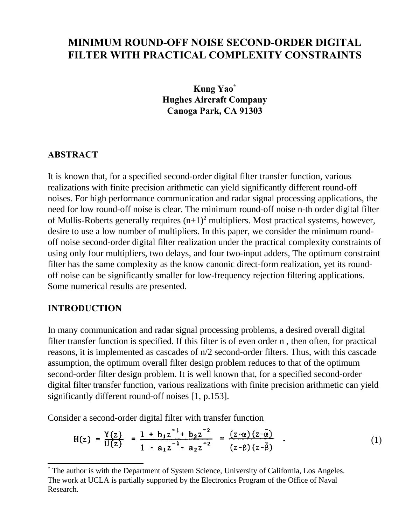# **MINIMUM ROUND-OFF NOISE SECOND-ORDER DIGITAL FILTER WITH PRACTICAL COMPLEXITY CONSTRAINTS**

**Kung Yao\* Hughes Aircraft Company Canoga Park, CA 91303**

#### **ABSTRACT**

It is known that, for a specified second-order digital filter transfer function, various realizations with finite precision arithmetic can yield significantly different round-off noises. For high performance communication and radar signal processing applications, the need for low round-off noise is clear. The minimum round-off noise n-th order digital filter of Mullis-Roberts generally requires  $(n+1)^2$  multipliers. Most practical systems, however, desire to use a low number of multipliers. In this paper, we consider the minimum roundoff noise second-order digital filter realization under the practical complexity constraints of using only four multipliers, two delays, and four two-input adders, The optimum constraint filter has the same complexity as the know canonic direct-form realization, yet its roundoff noise can be significantly smaller for low-frequency rejection filtering applications. Some numerical results are presented.

#### **INTRODUCTION**

In many communication and radar signal processing problems, a desired overall digital filter transfer function is specified. If this filter is of even order n , then often, for practical reasons, it is implemented as cascades of n/2 second-order filters. Thus, with this cascade assumption, the optimum overall filter design problem reduces to that of the optimum second-order filter design problem. It is well known that, for a specified second-order digital filter transfer function, various realizations with finite precision arithmetic can yield significantly different round-off noises [1, p.153].

Consider a second-order digital filter with transfer function

$$
H(z) = \frac{Y(z)}{U(z)} = \frac{1 + b_1 z^{-1} + b_2 z^{-2}}{1 - a_1 z^{-1} - a_2 z^{-2}} = \frac{(z - \alpha) (z - \overline{\alpha})}{(z - \beta) (z - \overline{\beta})} . \tag{1}
$$

<sup>\*</sup> The author is with the Department of System Science, University of California, Los Angeles. The work at UCLA is partially supported by the Electronics Program of the Office of Naval Research.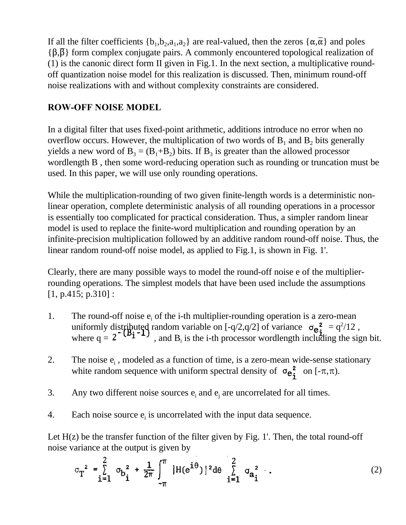If all the filter coefficients  $\{b_1, b_2, a_1, a_2\}$  are real-valued, then the zeros  $\{\alpha, \bar{\alpha}\}\$  and poles  ${\{\beta,\beta\}}$  form complex conjugate pairs. A commonly encountered topological realization of (1) is the canonic direct form II given in Fig.1. In the next section, a multiplicative roundoff quantization noise model for this realization is discussed. Then, minimum round-off noise realizations with and without complexity constraints are considered.

## **ROW-OFF NOISE MODEL**

In a digital filter that uses fixed-point arithmetic, additions introduce no error when no overflow occurs. However, the multiplication of two words of  $B_1$  and  $B_2$  bits generally yields a new word of  $B_3 = (B_1 + B_2)$  bits. If  $B_3$  is greater than the allowed processor wordlength B , then some word-reducing operation such as rounding or truncation must be used. In this paper, we will use only rounding operations.

While the multiplication-rounding of two given finite-length words is a deterministic nonlinear operation, complete deterministic analysis of all rounding operations in a processor is essentially too complicated for practical consideration. Thus, a simpler random linear model is used to replace the finite-word multiplication and rounding operation by an infinite-precision multiplication followed by an additive random round-off noise. Thus, the linear random round-off noise model, as applied to Fig.1, is shown in Fig. 1'.

Clearly, there are many possible ways to model the round-off noise e of the multiplierrounding operations. The simplest models that have been used include the assumptions [1, p.415; p.310]:

- 1. The round-off noise  $e_i$  of the i-th multiplier-rounding operation is a zero-mean uniformly distributed random variable on  $[-q/2, q/2]$  of variance  $\sigma_{e^2}^2 = q^2/12$ , where  $q = 2$  ( $2^{n+1}$ , and  $B_i$  is the i-th processor wordlength including the sign bit.
- 2. The noise  $e_i$ , modeled as a function of time, is a zero-mean wide-sense stationary white random sequence with uniform spectral density of  $\sigma_{\mathbf{e_i^2}}^2$  on  $[-\pi,\pi)$ .
- 3. Any two different noise sources  $e_i$  and  $e_j$  are uncorrelated for all times.
- 4. Each noise source  $e_i$  is uncorrelated with the input data sequence.

Let  $H(z)$  be the transfer function of the filter given by Fig. 1'. Then, the total round-off noise variance at the output is given by

$$
\sigma_{T}^{2} = \sum_{i=1}^{2} \sigma_{b}^{2} + \frac{1}{2\pi} \int_{-\pi}^{\pi} |H(e^{i\theta})|^{2} d\theta \sum_{i=1}^{2} \sigma_{a}^{2}.
$$
 (2)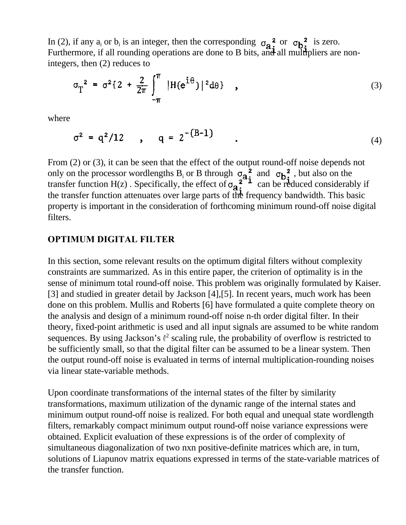In (2), if any  $a_i$  or  $b_i$  is an integer, then the corresponding  $\sigma_a^2$  or  $\sigma_b^2$  is zero. Furthermore, if all rounding operations are done to B bits, and all multipliers are nonintegers, then (2) reduces to

$$
\sigma_T^2 = \sigma^2 \{ 2 + \frac{2}{2\pi} \int_{-\pi}^{\pi} |H(e^{i\theta})|^2 d\theta \}, \qquad (3)
$$

where

$$
\sigma^2 = q^2/12 \qquad , \qquad q = 2^{-(B-1)} \qquad . \tag{4}
$$

From (2) or (3), it can be seen that the effect of the output round-off noise depends not only on the processor wordlengths B<sub>i</sub> or B through  $\sigma_{a}^{2}$  and  $\sigma_{b}^{2}$ , but also on the transfer function H(z). Specifically, the effect of  $\sigma_{\mathbf{a}}^2$ .  $\overline{\phantom{a}}^2$  can be reduced considerably if the transfer function attenuates over large parts of the frequency bandwidth. This basic property is important in the consideration of forthcoming minimum round-off noise digital filters.

#### **OPTIMUM DIGITAL FILTER**

In this section, some relevant results on the optimum digital filters without complexity constraints are summarized. As in this entire paper, the criterion of optimality is in the sense of minimum total round-off noise. This problem was originally formulated by Kaiser. [3] and studied in greater detail by Jackson [4], [5]. In recent years, much work has been done on this problem. Mullis and Roberts [6] have formulated a quite complete theory on the analysis and design of a minimum round-off noise n-th order digital filter. In their theory, fixed-point arithmetic is used and all input signals are assumed to be white random sequences. By using Jackson's  $\ell^2$  scaling rule, the probability of overflow is restricted to be sufficiently small, so that the digital filter can be assumed to be a linear system. Then the output round-off noise is evaluated in terms of internal multiplication-rounding noises via linear state-variable methods.

Upon coordinate transformations of the internal states of the filter by similarity transformations, maximum utilization of the dynamic range of the internal states and minimum output round-off noise is realized. For both equal and unequal state wordlength filters, remarkably compact minimum output round-off noise variance expressions were obtained. Explicit evaluation of these expressions is of the order of complexity of simultaneous diagonalization of two nxn positive-definite matrices which are, in turn, solutions of Liapunov matrix equations expressed in terms of the state-variable matrices of the transfer function.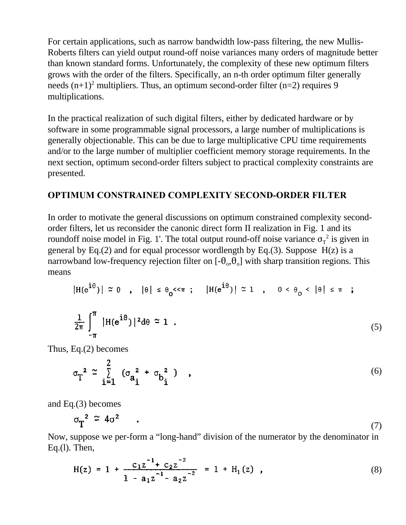For certain applications, such as narrow bandwidth low-pass filtering, the new Mullis-Roberts filters can yield output round-off noise variances many orders of magnitude better than known standard forms. Unfortunately, the complexity of these new optimum filters grows with the order of the filters. Specifically, an n-th order optimum filter generally needs  $(n+1)^2$  multipliers. Thus, an optimum second-order filter  $(n=2)$  requires 9 multiplications.

In the practical realization of such digital filters, either by dedicated hardware or by software in some programmable signal processors, a large number of multiplications is generally objectionable. This can be due to large multiplicative CPU time requirements and/or to the large number of multiplier coefficient memory storage requirements. In the next section, optimum second-order filters subject to practical complexity constraints are presented.

#### **OPTIMUM CONSTRAINED COMPLEXITY SECOND-ORDER FILTER**

In order to motivate the general discussions on optimum constrained complexity secondorder filters, let us reconsider the canonic direct form II realization in Fig. 1 and its roundoff noise model in Fig. 1'. The total output round-off noise variance  $\sigma_T^2$  is given in general by Eq.(2) and for equal processor wordlength by Eq.(3). Suppose  $H(z)$  is a narrowband low-frequency rejection filter on  $[-\theta_{\circ}, \theta_{\circ}]$  with sharp transition regions. This means

$$
|H(e^{i\theta})| \approx 0 \quad , \quad |\theta| \le \theta_0 \ll \pi \quad ; \quad |H(e^{i\theta})| \approx 1 \quad , \quad 0 < \theta_0 < |\theta| \le \pi \quad ;
$$
  

$$
\frac{1}{2\pi} \int_{-\pi}^{\pi} |H(e^{i\theta})|^2 d\theta \approx 1 \quad . \tag{5}
$$

Thus, Eq.(2) becomes

$$
\sigma_{\mathbf{T}}^2 \approx \sum_{i=1}^2 \left( \sigma_{\mathbf{a}_i}^2 + \sigma_{\mathbf{b}_i}^2 \right) , \qquad (6)
$$

and Eq.(3) becomes

$$
\sigma_{\text{T}}^2 \cong 4\sigma^2 \tag{7}
$$

Now, suppose we per-form a "long-hand" division of the numerator by the denominator in Eq.(l). Then,

$$
H(z) = 1 + \frac{c_1 z^{-1} + c_2 z^{-2}}{1 - a_1 z^{-1} - a_2 z^{-2}} = 1 + H_1(z) , \qquad (8)
$$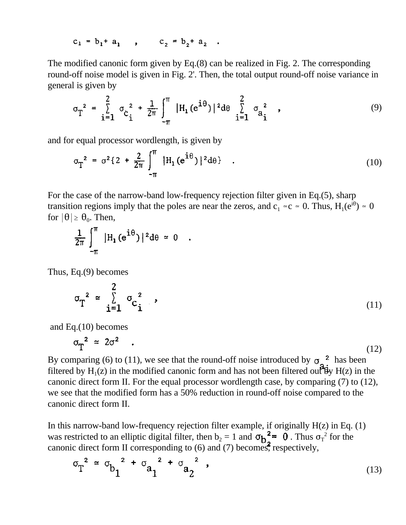$$
c_1 = b_1 + a_1
$$
,  $c_2 = b_2 + a_2$ 

The modified canonic form given by Eq.(8) can be realized in Fig. 2. The corresponding round-off noise model is given in Fig. 2'. Then, the total output round-off noise variance in general is given by

$$
\sigma_{T}^{2} = \sum_{i=1}^{2} \sigma_{c}^{2} + \frac{1}{2\pi} \int_{-\pi}^{\pi} |H_{1}(e^{i\theta})|^{2} d\theta \sum_{i=1}^{2} \sigma_{a}^{2}, \qquad (9)
$$

and for equal processor wordlength, is given by

$$
\sigma_T^2 = \sigma^2 \{ 2 + \frac{2}{2\pi} \int_{-\pi}^{\pi} |H_1(e^{i\theta})|^2 d\theta \} .
$$
 (10)

For the case of the narrow-band low-frequency rejection filter given in Eq.(5), sharp transition regions imply that the poles are near the zeros, and  $c_1 \approx c \approx 0$ . Thus,  $H_1(e^{i\theta}) \approx 0$ for  $|\theta| \ge \theta_0$ . Then,

$$
\frac{1}{2\pi}\int_{-\pi}^{\pi} |H_1(e^{i\theta})|^2 d\theta \approx 0
$$

Thus, Eq.(9) becomes

$$
\sigma_{\text{T}}^2 \approx \sum_{i=1}^{2} \sigma_{\text{c}}^2 \quad , \tag{11}
$$

and Eq.(10) becomes

$$
\sigma_{\text{T}}^2 \approx 2\sigma^2 \quad . \tag{12}
$$

By comparing (6) to (11), we see that the round-off noise introduced by  $\sigma_2^2$  has been filtered by  $H_1(z)$  in the modified canonic form and has not been filtered out  $\mathcal{H}_Y H(z)$  in the canonic direct form II. For the equal processor wordlength case, by comparing (7) to (12), we see that the modified form has a 50% reduction in round-off noise compared to the canonic direct form II.

In this narrow-band low-frequency rejection filter example, if originally  $H(z)$  in Eq. (1) was restricted to an elliptic digital filter, then  $b_2 = 1$  and  $\sigma_{b_2}^2 = 0$ . Thus  $\sigma_{T}^2$  for the canonic direct form II corresponding to  $(6)$  and  $(7)$  becomes, respectively,

$$
\sigma_{T}^{2} \approx \sigma_{b_1}^{2} + \sigma_{a_1}^{2} + \sigma_{a_2}^{2}
$$
, (13)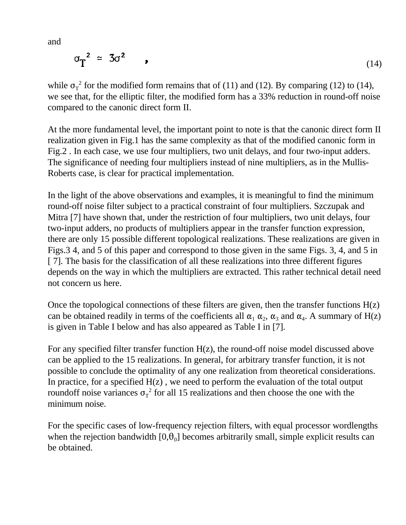and

$$
\sigma_{\text{T}}^2 \approx 3\sigma^2 \qquad (14)
$$

while  $\sigma_T^2$  for the modified form remains that of (11) and (12). By comparing (12) to (14), we see that, for the elliptic filter, the modified form has a 33% reduction in round-off noise compared to the canonic direct form II.

At the more fundamental level, the important point to note is that the canonic direct form II realization given in Fig.1 has the same complexity as that of the modified canonic form in Fig.2 . In each case, we use four multipliers, two unit delays, and four two-input adders. The significance of needing four multipliers instead of nine multipliers, as in the Mullis-Roberts case, is clear for practical implementation.

In the light of the above observations and examples, it is meaningful to find the minimum round-off noise filter subject to a practical constraint of four multipliers. Szczupak and Mitra [7] have shown that, under the restriction of four multipliers, two unit delays, four two-input adders, no products of multipliers appear in the transfer function expression, there are only 15 possible different topological realizations. These realizations are given in Figs.3 4, and 5 of this paper and correspond to those given in the same Figs. 3, 4, and 5 in [ 7]. The basis for the classification of all these realizations into three different figures depends on the way in which the multipliers are extracted. This rather technical detail need not concern us here.

Once the topological connections of these filters are given, then the transfer functions  $H(z)$ can be obtained readily in terms of the coefficients all  $\alpha_1 \alpha_2$ ,  $\alpha_3$  and  $\alpha_4$ . A summary of H(z) is given in Table I below and has also appeared as Table I in [7].

For any specified filter transfer function  $H(z)$ , the round-off noise model discussed above can be applied to the 15 realizations. In general, for arbitrary transfer function, it is not possible to conclude the optimality of any one realization from theoretical considerations. In practice, for a specified  $H(z)$ , we need to perform the evaluation of the total output roundoff noise variances  $\sigma_T^2$  for all 15 realizations and then choose the one with the minimum noise.

For the specific cases of low-frequency rejection filters, with equal processor wordlengths when the rejection bandwidth  $[0, \theta_0]$  becomes arbitrarily small, simple explicit results can be obtained.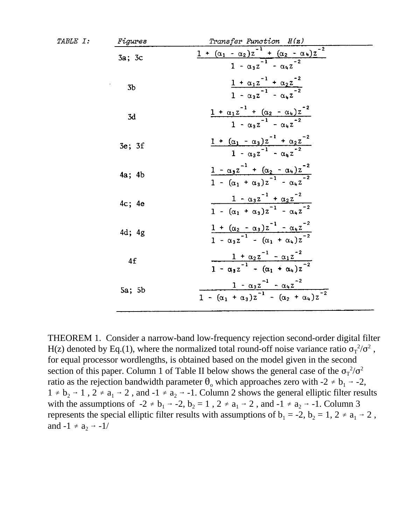| TABLE I: | Figures        | Transfer Function H(z)                                                                                          |  |  |
|----------|----------------|-----------------------------------------------------------------------------------------------------------------|--|--|
|          | 3a; 3c         | $\frac{1 + (\alpha_1 - \alpha_2)z^{-1} + (\alpha_2 - \alpha_4)z^{-2}}{1 - \alpha_3z^{-1} - \alpha_4z^{-2}}$     |  |  |
|          | 3 <sub>b</sub> | $\frac{1 + \alpha_1 z^{-1} + \alpha_2 z^{-2}}{1 - \alpha_3 z^{-1} - \alpha_4 z^{-2}}$                           |  |  |
|          | 3d             | $\frac{1+\alpha_1 z^{-1}+(\alpha_2-\alpha_4)z^{-2}}{1-\alpha_3 z^{-1}-\alpha_4 z^{-2}}$                         |  |  |
|          | 3e; 3f         | $\frac{1 + (\alpha_1 - \alpha_3)z^{-1} + \alpha_2 z^{-2}}{1 - \alpha_3 z^{-1} - \alpha_4 z^{-2}}$               |  |  |
|          | $4a$ ; $4b$    | $\frac{1 - \alpha_3 z^{-1} + (\alpha_2 - \alpha_4)z^{-2}}{1 - (\alpha_1 + \alpha_3)z^{-1} - \alpha_4 z^{-2}}$   |  |  |
|          | 4c; 4e         | $\frac{1 - \alpha_3 z^{-1} + \alpha_2 z^{-2}}{1 - (\alpha_1 + \alpha_3)z^{-1} - \alpha_4 z^{-2}}$               |  |  |
|          | $4d$ ; $4g$    | $\frac{1 + (\alpha_2 - \alpha_3)z^{-1} - {\alpha_4}z^{-2}}{1 - {\alpha_3}z^{-1} - (\alpha_1 + \alpha_4)z^{-2}}$ |  |  |
|          | 4f             | $\frac{1 + \alpha_2 z^{-1} - \alpha_1 z^{-2}}{1 - \alpha_3 z^{-1} - (\alpha_1 + \alpha_4)z^{-2}}$               |  |  |
|          | 5a; 5b         | $\frac{1 - \alpha_3 z^{-1} - \alpha_4 z^{-2}}{1 - (\alpha_1 + \alpha_3)z^{-1} - (\alpha_2 + \alpha_4)z^{-2}}$   |  |  |

THEOREM 1. Consider a narrow-band low-frequency rejection second-order digital filter H(z) denoted by Eq.(1), where the normalized total round-off noise variance ratio  $\sigma_T^2/\sigma^2$ , for equal processor wordlengths, is obtained based on the model given in the second section of this paper. Column 1 of Table II below shows the general case of the  $\sigma_T^2/\sigma^2$ ratio as the rejection bandwidth parameter  $\theta_0$  which approaches zero with  $-2 \neq b_1 \rightarrow -2$ ,  $1 \neq b_2 \rightarrow 1$ ,  $2 \neq a_1 \rightarrow 2$ , and  $-1 \neq a_2 \rightarrow -1$ . Column 2 shows the general elliptic filter results with the assumptions of  $-2 \ne b_1 \rightarrow -2$ ,  $b_2 = 1$ ,  $2 \ne a_1 \rightarrow 2$ , and  $-1 \ne a_2 \rightarrow -1$ . Column 3 represents the special elliptic filter results with assumptions of  $b_1 = -2$ ,  $b_2 = 1$ ,  $2 \ne a_1 \rightarrow 2$ , and  $-1 \neq a_2 \rightarrow -1/$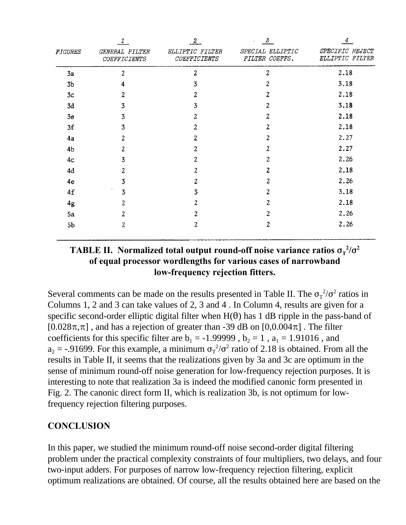|                | 1                                     | $\boldsymbol{2}$                | 3<br>$\epsilon$                    | 4                                  |
|----------------|---------------------------------------|---------------------------------|------------------------------------|------------------------------------|
| <b>FIGURES</b> | GENERAL FILTER<br><b>COEFFICIENTS</b> | ELLIPTIC FILTER<br>COEFFICIENTS | SPECIAL ELLIPTIC<br>FILTER COEFFS. | SPECIFIC REJECT<br>ELLIPTIC FILTER |
| 3a             | $\overline{c}$                        | $\overline{c}$                  | $\overline{c}$                     | 2.18                               |
| 3 <sub>b</sub> | 4                                     | 3                               | 2                                  | 3.18                               |
| 3c             | 2                                     | 2                               | 2                                  | 2.18                               |
| 3d             | 3                                     | 3                               | 2                                  | 3.18                               |
| 3e             | 3                                     | 2                               | 2                                  | 2.18                               |
| 3f             | 3                                     | 2                               | 2                                  | 2.18                               |
| 4a             | 2                                     | 2                               | 2                                  | 2.27                               |
| 4 <sub>b</sub> | 2                                     | 2                               | 2                                  | 2.27                               |
| 4 <sub>c</sub> | 3                                     | 2                               | 2                                  | 2.26                               |
| 4d             | 2                                     | 2                               | $\overline{c}$                     | 2.18                               |
| 4e             | 3                                     | 2                               | 2                                  | 2.26                               |
| 4f             | 3                                     | 3                               | 2                                  | 3.18                               |
| 4g             | 2                                     | 2                               | 2                                  | 2.18                               |
| 5a             | 2                                     | 2                               | $\overline{c}$                     | 2.26                               |
| 5 <sub>b</sub> | 2                                     | 2                               | 2                                  | 2.26                               |

## **TABLE II.** Normalized total output round-off noise variance ratios  $\sigma_T^{-2}/\sigma^2$ **of equal processor wordlengths for various cases of narrowband low-frequency rejection fitters.**

Several comments can be made on the results presented in Table II. The  $\sigma_T^2/\sigma^2$  ratios in Columns 1, 2 and 3 can take values of 2, 3 and 4 . In Column 4, results are given for a specific second-order elliptic digital filter when  $H(\theta)$  has 1 dB ripple in the pass-band of  $[0.028\pi,\pi]$ , and has a rejection of greater than -39 dB on  $[0,0.004\pi]$ . The filter coefficients for this specific filter are  $b_1 = -1.99999$ ,  $b_2 = 1$ ,  $a_1 = 1.91016$ , and  $a_2 = -0.91699$ . For this example, a minimum  $\sigma_T^2/\sigma^2$  ratio of 2.18 is obtained. From all the results in Table II, it seems that the realizations given by 3a and 3c are optimum in the sense of minimum round-off noise generation for low-frequency rejection purposes. It is interesting to note that realization 3a is indeed the modified canonic form presented in Fig. 2. The canonic direct form II, which is realization 3b, is not optimum for lowfrequency rejection filtering purposes.

# **CONCLUSION**

In this paper, we studied the minimum round-off noise second-order digital filtering problem under the practical complexity constraints of four multipliers, two delays, and four two-input adders. For purposes of narrow low-frequency rejection filtering, explicit optimum realizations are obtained. Of course, all the results obtained here are based on the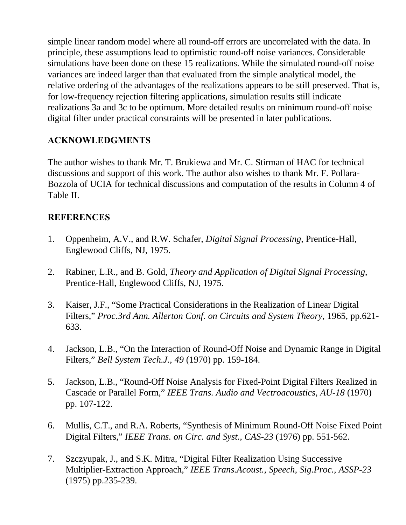simple linear random model where all round-off errors are uncorrelated with the data. In principle, these assumptions lead to optimistic round-off noise variances. Considerable simulations have been done on these 15 realizations. While the simulated round-off noise variances are indeed larger than that evaluated from the simple analytical model, the relative ordering of the advantages of the realizations appears to be still preserved. That is, for low-frequency rejection filtering applications, simulation results still indicate realizations 3a and 3c to be optimum. More detailed results on minimum round-off noise digital filter under practical constraints will be presented in later publications.

# **ACKNOWLEDGMENTS**

The author wishes to thank Mr. T. Brukiewa and Mr. C. Stirman of HAC for technical discussions and support of this work. The author also wishes to thank Mr. F. Pollara-Bozzola of UCIA for technical discussions and computation of the results in Column 4 of Table II.

## **REFERENCES**

- 1. Oppenheim, A.V., and R.W. Schafer, *Digital Signal Processing*, Prentice-Hall, Englewood Cliffs, NJ, 1975.
- 2. Rabiner, L.R., and B. Gold, *Theory and Application of Digital Signal Processing*, Prentice-Hall, Englewood Cliffs, NJ, 1975.
- 3. Kaiser, J.F., "Some Practical Considerations in the Realization of Linear Digital Filters," *Proc.3rd Ann. Allerton Conf. on Circuits and System Theory*, 1965, pp.621- 633.
- 4. Jackson, L.B., "On the Interaction of Round-Off Noise and Dynamic Range in Digital Filters," *Bell System Tech.J., 49* (1970) pp. 159-184.
- 5. Jackson, L.B., "Round-Off Noise Analysis for Fixed-Point Digital Filters Realized in Cascade or Parallel Form," *IEEE Trans. Audio and Vectroacoustics, AU-18* (1970) pp. 107-122.
- 6. Mullis, C.T., and R.A. Roberts, "Synthesis of Minimum Round-Off Noise Fixed Point Digital Filters," *IEEE Trans. on Circ. and Syst., CAS-23* (1976) pp. 551-562.
- 7. Szczyupak, J., and S.K. Mitra, "Digital Filter Realization Using Successive Multiplier-Extraction Approach," *IEEE Trans.Acoust., Speech, Sig.Proc., ASSP-23* (1975) pp.235-239.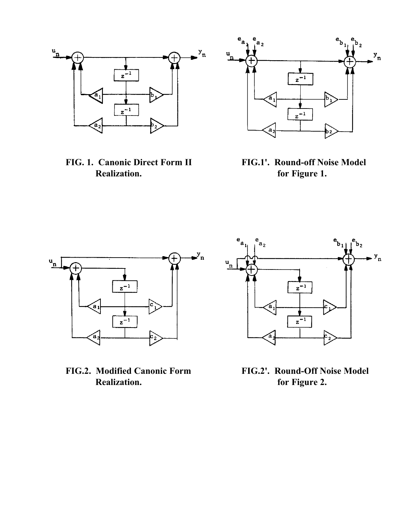

**Realization. for Figure 1.**



**FIG. 1. Canonic Direct Form II FIG.1'. Round-off Noise Model**





**FIG.2. Modified Canonic Form FIG.2'. Round-Off Noise Model** for Figure 2.